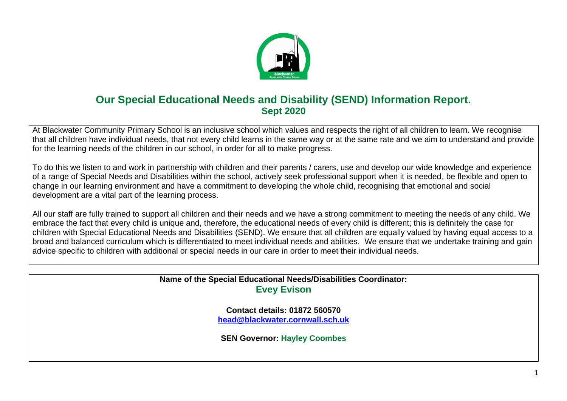

## **Our Special Educational Needs and Disability (SEND) Information Report. Sept 2020**

At Blackwater Community Primary School is an inclusive school which values and respects the right of all children to learn. We recognise that all children have individual needs, that not every child learns in the same way or at the same rate and we aim to understand and provide for the learning needs of the children in our school, in order for all to make progress.

To do this we listen to and work in partnership with children and their parents / carers, use and develop our wide knowledge and experience of a range of Special Needs and Disabilities within the school, actively seek professional support when it is needed, be flexible and open to change in our learning environment and have a commitment to developing the whole child, recognising that emotional and social development are a vital part of the learning process.

All our staff are fully trained to support all children and their needs and we have a strong commitment to meeting the needs of any child. We embrace the fact that every child is unique and, therefore, the educational needs of every child is different; this is definitely the case for children with Special Educational Needs and Disabilities (SEND). We ensure that all children are equally valued by having equal access to a broad and balanced curriculum which is differentiated to meet individual needs and abilities. We ensure that we undertake training and gain advice specific to children with additional or special needs in our care in order to meet their individual needs.

> **Name of the Special Educational Needs/Disabilities Coordinator: Evey Evison**

> > **Contact details: 01872 560570 [head@blackwater.cornwall.sch.uk](mailto:head@blackwater.cornwall.sch.uk)**

**SEN Governor: Hayley Coombes**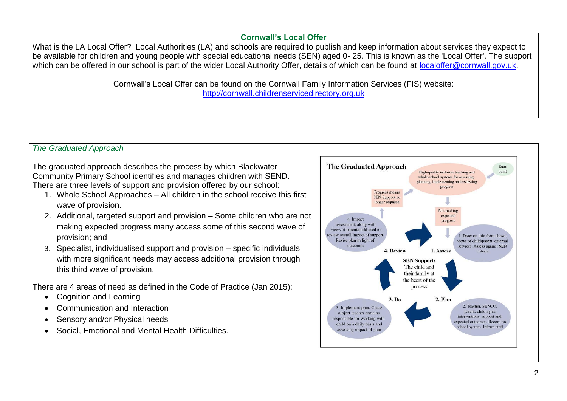### **Cornwall's Local Offer**

What is the LA Local Offer? Local Authorities (LA) and schools are required to publish and keep information about services they expect to be available for children and young people with special educational needs (SEN) aged 0- 25. This is known as the 'Local Offer'. The support which can be offered in our school is part of the wider Local Authority Offer, details of which can be found at [localoffer@cornwall.gov.uk.](mailto:localoffer@cornwall.gov.uk)

> Cornwall's Local Offer can be found on the Cornwall Family Information Services (FIS) website: [http://cornwall.childrenservicedirectory.org.uk](http://cornwall.childrenservicedirectory.org.uk/)

## *The Graduated Approach*

The graduated approach describes the process by which Blackwater Community Primary School identifies and manages children with SEND. There are three levels of support and provision offered by our school:

- 1. Whole School Approaches All children in the school receive this first wave of provision.
- 2. Additional, targeted support and provision Some children who are not making expected progress many access some of this second wave of provision; and
- 3. Specialist, individualised support and provision specific individuals with more significant needs may access additional provision through this third wave of provision.

There are 4 areas of need as defined in the Code of Practice (Jan 2015):

- Cognition and Learning
- Communication and Interaction
- Sensory and/or Physical needs
- Social, Emotional and Mental Health Difficulties.

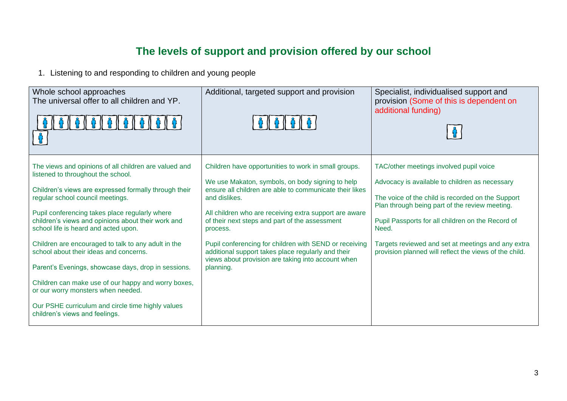# **The levels of support and provision offered by our school**

1. Listening to and responding to children and young people

| Whole school approaches<br>The universal offer to all children and YP.                                                                                                                                                                                                                                                                                                                                                                                                                                                                                                                                                                                                               | Additional, targeted support and provision                                                                                                                                                                                                                                                                                                                                                                                                                                                      | Specialist, individualised support and<br>provision (Some of this is dependent on<br>additional funding)                                                                                                                                                                                                                                                                       |
|--------------------------------------------------------------------------------------------------------------------------------------------------------------------------------------------------------------------------------------------------------------------------------------------------------------------------------------------------------------------------------------------------------------------------------------------------------------------------------------------------------------------------------------------------------------------------------------------------------------------------------------------------------------------------------------|-------------------------------------------------------------------------------------------------------------------------------------------------------------------------------------------------------------------------------------------------------------------------------------------------------------------------------------------------------------------------------------------------------------------------------------------------------------------------------------------------|--------------------------------------------------------------------------------------------------------------------------------------------------------------------------------------------------------------------------------------------------------------------------------------------------------------------------------------------------------------------------------|
| The views and opinions of all children are valued and<br>listened to throughout the school.<br>Children's views are expressed formally through their<br>regular school council meetings.<br>Pupil conferencing takes place regularly where<br>children's views and opinions about their work and<br>school life is heard and acted upon.<br>Children are encouraged to talk to any adult in the<br>school about their ideas and concerns.<br>Parent's Evenings, showcase days, drop in sessions.<br>Children can make use of our happy and worry boxes,<br>or our worry monsters when needed.<br>Our PSHE curriculum and circle time highly values<br>children's views and feelings. | Children have opportunities to work in small groups.<br>We use Makaton, symbols, on body signing to help<br>ensure all children are able to communicate their likes<br>and dislikes.<br>All children who are receiving extra support are aware<br>of their next steps and part of the assessment<br>process.<br>Pupil conferencing for children with SEND or receiving<br>additional support takes place regularly and their<br>views about provision are taking into account when<br>planning. | TAC/other meetings involved pupil voice<br>Advocacy is available to children as necessary<br>The voice of the child is recorded on the Support<br>Plan through being part of the review meeting.<br>Pupil Passports for all children on the Record of<br>Need.<br>Targets reviewed and set at meetings and any extra<br>provision planned will reflect the views of the child. |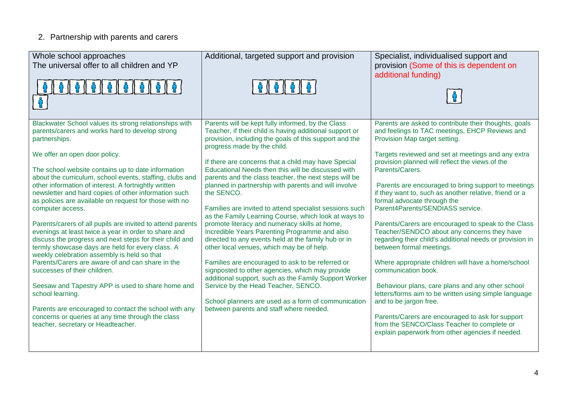## 2. Partnership with parents and carers

| Whole school approaches<br>The universal offer to all children and YP<br>$\frac{1}{2}$ $\left[\frac{1}{2}$ $\left[\frac{1}{2}$ $\left[\frac{1}{2}$ $\frac{1}{2}$ $\frac{1}{2}$ $\frac{1}{2}$ $\frac{1}{2}$                                                                                                                                                                                                                                                                                                                                                                                                                                                                                                                                                                                                                                                                                                                                                                                                                                                                       | Additional, targeted support and provision                                                                                                                                                                                                                                                                                                                                                                                                                                                                                                                                                                                                                                                                                                                                                                                                                                                                                                                                                                                                                                          | Specialist, individualised support and<br>provision (Some of this is dependent on<br>additional funding)                                                                                                                                                                                                                                                                                                                                                                                                                                                                                                                                                                                                                                                                                                                                                                                                                                                                                                                          |
|----------------------------------------------------------------------------------------------------------------------------------------------------------------------------------------------------------------------------------------------------------------------------------------------------------------------------------------------------------------------------------------------------------------------------------------------------------------------------------------------------------------------------------------------------------------------------------------------------------------------------------------------------------------------------------------------------------------------------------------------------------------------------------------------------------------------------------------------------------------------------------------------------------------------------------------------------------------------------------------------------------------------------------------------------------------------------------|-------------------------------------------------------------------------------------------------------------------------------------------------------------------------------------------------------------------------------------------------------------------------------------------------------------------------------------------------------------------------------------------------------------------------------------------------------------------------------------------------------------------------------------------------------------------------------------------------------------------------------------------------------------------------------------------------------------------------------------------------------------------------------------------------------------------------------------------------------------------------------------------------------------------------------------------------------------------------------------------------------------------------------------------------------------------------------------|-----------------------------------------------------------------------------------------------------------------------------------------------------------------------------------------------------------------------------------------------------------------------------------------------------------------------------------------------------------------------------------------------------------------------------------------------------------------------------------------------------------------------------------------------------------------------------------------------------------------------------------------------------------------------------------------------------------------------------------------------------------------------------------------------------------------------------------------------------------------------------------------------------------------------------------------------------------------------------------------------------------------------------------|
| Blackwater School values its strong relationships with<br>parents/carers and works hard to develop strong<br>partnerships.<br>We offer an open door policy.<br>The school website contains up to date information<br>about the curriculum, school events, staffing, clubs and<br>other information of interest. A fortnightly written<br>newsletter and hard copies of other information such<br>as policies are available on request for those with no<br>computer access.<br>Parents/carers of all pupils are invited to attend parents<br>evenings at least twice a year in order to share and<br>discuss the progress and next steps for their child and<br>termly showcase days are held for every class. A<br>weekly celebration assembly is held so that<br>Parents/Carers are aware of and can share in the<br>successes of their children.<br>Seesaw and Tapestry APP is used to share home and<br>school learning.<br>Parents are encouraged to contact the school with any<br>concerns or queries at any time through the class<br>teacher, secretary or Headteacher. | Parents will be kept fully informed, by the Class<br>Teacher, if their child is having additional support or<br>provision, including the goals of this support and the<br>progress made by the child.<br>If there are concerns that a child may have Special<br>Educational Needs then this will be discussed with<br>parents and the class teacher, the next steps will be<br>planned in partnership with parents and will involve<br>the SENCO.<br>Families are invited to attend specialist sessions such<br>as the Family Learning Course, which look at ways to<br>promote literacy and numeracy skills at home,<br>Incredible Years Parenting Programme and also<br>directed to any events held at the family hub or in<br>other local venues, which may be of help.<br>Families are encouraged to ask to be referred or<br>signposted to other agencies, which may provide<br>additional support, such as the Family Support Worker<br>Service by the Head Teacher, SENCO.<br>School planners are used as a form of communication<br>between parents and staff where needed. | Parents are asked to contribute their thoughts, goals<br>and feelings to TAC meetings, EHCP Reviews and<br>Provision Map target setting.<br>Targets reviewed and set at meetings and any extra<br>provision planned will reflect the views of the<br>Parents/Carers.<br>Parents are encouraged to bring support to meetings<br>if they want to, such as another relative, friend or a<br>formal advocate through the<br>Parent4Parents/SENDIASS service.<br>Parents/Carers are encouraged to speak to the Class<br>Teacher/SENDCO about any concerns they have<br>regarding their child's additional needs or provision in<br>between formal meetings.<br>Where appropriate children will have a home/school<br>communication book.<br>Behaviour plans, care plans and any other school<br>letters/forms aim to be written using simple language<br>and to be jargon free.<br>Parents/Carers are encouraged to ask for support<br>from the SENCO/Class Teacher to complete or<br>explain paperwork from other agencies if needed. |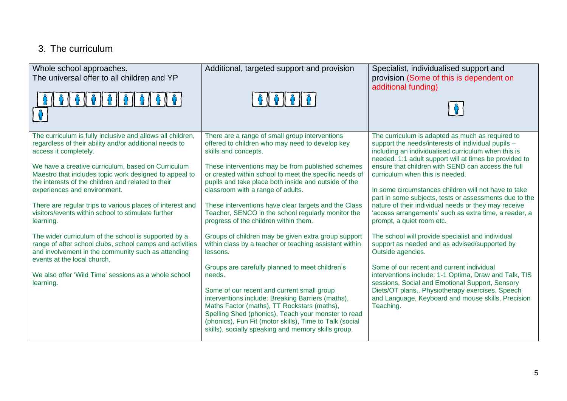## 3. The curriculum

| Whole school approaches.<br>The universal offer to all children and YP                                                                                                                                                                                                                                                                                                                                                                                                                                                                                                                                                                                                                                                                                            | Additional, targeted support and provision                                                                                                                                                                                                                                                                                                                                                                                                                                                                                                                                                                                                                                                                                                                                                                                                                                                                                                                                                                        | Specialist, individualised support and<br>provision (Some of this is dependent on<br>additional funding)                                                                                                                                                                                                                                                                                                                                                                                                                                                                                                                                                                                                                                                                                                                                                                                                                                                                                    |
|-------------------------------------------------------------------------------------------------------------------------------------------------------------------------------------------------------------------------------------------------------------------------------------------------------------------------------------------------------------------------------------------------------------------------------------------------------------------------------------------------------------------------------------------------------------------------------------------------------------------------------------------------------------------------------------------------------------------------------------------------------------------|-------------------------------------------------------------------------------------------------------------------------------------------------------------------------------------------------------------------------------------------------------------------------------------------------------------------------------------------------------------------------------------------------------------------------------------------------------------------------------------------------------------------------------------------------------------------------------------------------------------------------------------------------------------------------------------------------------------------------------------------------------------------------------------------------------------------------------------------------------------------------------------------------------------------------------------------------------------------------------------------------------------------|---------------------------------------------------------------------------------------------------------------------------------------------------------------------------------------------------------------------------------------------------------------------------------------------------------------------------------------------------------------------------------------------------------------------------------------------------------------------------------------------------------------------------------------------------------------------------------------------------------------------------------------------------------------------------------------------------------------------------------------------------------------------------------------------------------------------------------------------------------------------------------------------------------------------------------------------------------------------------------------------|
| The curriculum is fully inclusive and allows all children,<br>regardless of their ability and/or additional needs to<br>access it completely.<br>We have a creative curriculum, based on Curriculum<br>Maestro that includes topic work designed to appeal to<br>the interests of the children and related to their<br>experiences and environment.<br>There are regular trips to various places of interest and<br>visitors/events within school to stimulate further<br>learning.<br>The wider curriculum of the school is supported by a<br>range of after school clubs, school camps and activities<br>and involvement in the community such as attending<br>events at the local church.<br>We also offer 'Wild Time' sessions as a whole school<br>learning. | There are a range of small group interventions<br>offered to children who may need to develop key<br>skills and concepts.<br>These interventions may be from published schemes<br>or created within school to meet the specific needs of<br>pupils and take place both inside and outside of the<br>classroom with a range of adults.<br>These interventions have clear targets and the Class<br>Teacher, SENCO in the school regularly monitor the<br>progress of the children within them.<br>Groups of children may be given extra group support<br>within class by a teacher or teaching assistant within<br>lessons.<br>Groups are carefully planned to meet children's<br>needs.<br>Some of our recent and current small group<br>interventions include: Breaking Barriers (maths),<br>Maths Factor (maths), TT Rockstars (maths),<br>Spelling Shed (phonics), Teach your monster to read<br>(phonics), Fun Fit (motor skills), Time to Talk (social<br>skills), socially speaking and memory skills group. | The curriculum is adapted as much as required to<br>support the needs/interests of individual pupils -<br>including an individualised curriculum when this is<br>needed. 1:1 adult support will at times be provided to<br>ensure that children with SEND can access the full<br>curriculum when this is needed.<br>In some circumstances children will not have to take<br>part in some subjects, tests or assessments due to the<br>nature of their individual needs or they may receive<br>'access arrangements' such as extra time, a reader, a<br>prompt, a quiet room etc.<br>The school will provide specialist and individual<br>support as needed and as advised/supported by<br>Outside agencies.<br>Some of our recent and current individual<br>interventions include: 1-1 Optima, Draw and Talk, TIS<br>sessions, Social and Emotional Support, Sensory<br>Diets/OT plans,, Physiotherapy exercises, Speech<br>and Language, Keyboard and mouse skills, Precision<br>Teaching. |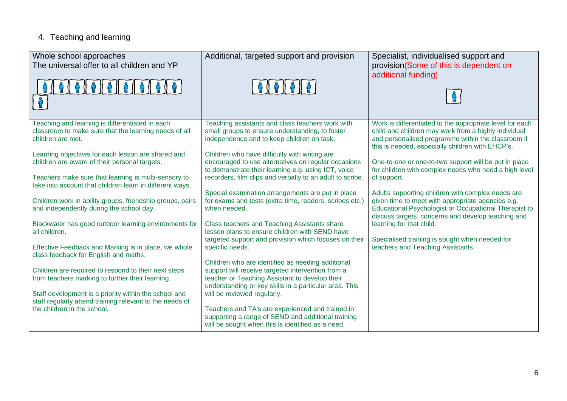## 4. Teaching and learning

| Whole school approaches<br>The universal offer to all children and YP<br>1000000000                                                              | Additional, targeted support and provision<br>66666                                                                                                                                                                | Specialist, individualised support and<br>provision(Some of this is dependent on<br>additional funding)                                                                                                                    |
|--------------------------------------------------------------------------------------------------------------------------------------------------|--------------------------------------------------------------------------------------------------------------------------------------------------------------------------------------------------------------------|----------------------------------------------------------------------------------------------------------------------------------------------------------------------------------------------------------------------------|
| Teaching and learning is differentiated in each<br>classroom to make sure that the learning needs of all<br>children are met.                    | Teaching assistants and class teachers work with<br>small groups to ensure understanding, to foster<br>independence and to keep children on task.                                                                  | Work is differentiated to the appropriate level for each<br>child and children may work from a highly individual<br>and personalised programme within the classroom if<br>this is needed, especially children with EHCP's. |
| Learning objectives for each lesson are shared and<br>children are aware of their personal targets.                                              | Children who have difficulty with writing are<br>encouraged to use alternatives on regular occasions<br>to demonstrate their learning e.g. using ICT, voice                                                        | One-to-one or one-to-two support will be put in place<br>for children with complex needs who need a high level                                                                                                             |
| Teachers make sure that learning is multi-sensory to<br>take into account that children learn in different ways.                                 | recorders, film clips and verbally to an adult to scribe.                                                                                                                                                          | of support.                                                                                                                                                                                                                |
| Children work in ability groups, friendship groups, pairs<br>and independently during the school day.                                            | Special examination arrangements are put in place<br>for exams and tests (extra time, readers, scribes etc.)<br>when needed.                                                                                       | Adults supporting children with complex needs are<br>given time to meet with appropriate agencies e.g.<br>Educational Psychologist or Occupational Therapist to<br>discuss targets, concerns and develop teaching and      |
| Blackwater has good outdoor learning environments for<br>all children.                                                                           | Class teachers and Teaching Assistants share<br>lesson plans to ensure children with SEND have                                                                                                                     | learning for that child.                                                                                                                                                                                                   |
| Effective Feedback and Marking is in place, we whole<br>class feedback for English and maths.                                                    | targeted support and provision which focuses on their<br>specific needs.                                                                                                                                           | Specialised training is sought when needed for<br>teachers and Teaching Assistants.                                                                                                                                        |
| Children are required to respond to their next steps<br>from teachers marking to further their learning.                                         | Children who are identified as needing additional<br>support will receive targeted intervention from a<br>teacher or Teaching Assistant to develop their<br>understanding or key skills in a particular area. This |                                                                                                                                                                                                                            |
| Staff development is a priority within the school and<br>staff regularly attend training relevant to the needs of<br>the children in the school. | will be reviewed regularly.<br>Teachers and TA's are experienced and trained in<br>supporting a range of SEND and additional training                                                                              |                                                                                                                                                                                                                            |
|                                                                                                                                                  | will be sought when this is identified as a need.                                                                                                                                                                  |                                                                                                                                                                                                                            |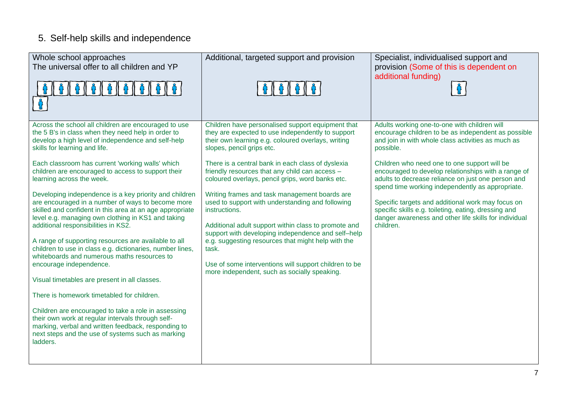# 5. Self-help skills and independence

| Whole school approaches                                                                                                                                                                                                                                              | Additional, targeted support and provision                                                                                                                                                                                       | Specialist, individualised support and                                                                                                                                                                        |
|----------------------------------------------------------------------------------------------------------------------------------------------------------------------------------------------------------------------------------------------------------------------|----------------------------------------------------------------------------------------------------------------------------------------------------------------------------------------------------------------------------------|---------------------------------------------------------------------------------------------------------------------------------------------------------------------------------------------------------------|
| The universal offer to all children and YP                                                                                                                                                                                                                           |                                                                                                                                                                                                                                  | provision (Some of this is dependent on                                                                                                                                                                       |
|                                                                                                                                                                                                                                                                      |                                                                                                                                                                                                                                  | additional funding)<br>ဂူ                                                                                                                                                                                     |
| Across the school all children are encouraged to use<br>the 5 B's in class when they need help in order to<br>develop a high level of independence and self-help<br>skills for learning and life.                                                                    | Children have personalised support equipment that<br>they are expected to use independently to support<br>their own learning e.g. coloured overlays, writing<br>slopes, pencil grips etc.                                        | Adults working one-to-one with children will<br>encourage children to be as independent as possible<br>and join in with whole class activities as much as<br>possible.                                        |
| Each classroom has current 'working walls' which<br>children are encouraged to access to support their<br>learning across the week.                                                                                                                                  | There is a central bank in each class of dyslexia<br>friendly resources that any child can access -<br>coloured overlays, pencil grips, word banks etc.                                                                          | Children who need one to one support will be<br>encouraged to develop relationships with a range of<br>adults to decrease reliance on just one person and<br>spend time working independently as appropriate. |
| Developing independence is a key priority and children<br>are encouraged in a number of ways to become more<br>skilled and confident in this area at an age appropriate<br>level e.g. managing own clothing in KS1 and taking<br>additional responsibilities in KS2. | Writing frames and task management boards are<br>used to support with understanding and following<br>instructions.<br>Additional adult support within class to promote and<br>support with developing independence and self-help | Specific targets and additional work may focus on<br>specific skills e.g. toileting, eating, dressing and<br>danger awareness and other life skills for individual<br>children.                               |
| A range of supporting resources are available to all<br>children to use in class e.g. dictionaries, number lines,<br>whiteboards and numerous maths resources to<br>encourage independence.                                                                          | e.g. suggesting resources that might help with the<br>task.<br>Use of some interventions will support children to be                                                                                                             |                                                                                                                                                                                                               |
| Visual timetables are present in all classes.                                                                                                                                                                                                                        | more independent, such as socially speaking.                                                                                                                                                                                     |                                                                                                                                                                                                               |
| There is homework timetabled for children.                                                                                                                                                                                                                           |                                                                                                                                                                                                                                  |                                                                                                                                                                                                               |
| Children are encouraged to take a role in assessing<br>their own work at regular intervals through self-<br>marking, verbal and written feedback, responding to<br>next steps and the use of systems such as marking<br>ladders.                                     |                                                                                                                                                                                                                                  |                                                                                                                                                                                                               |
|                                                                                                                                                                                                                                                                      |                                                                                                                                                                                                                                  |                                                                                                                                                                                                               |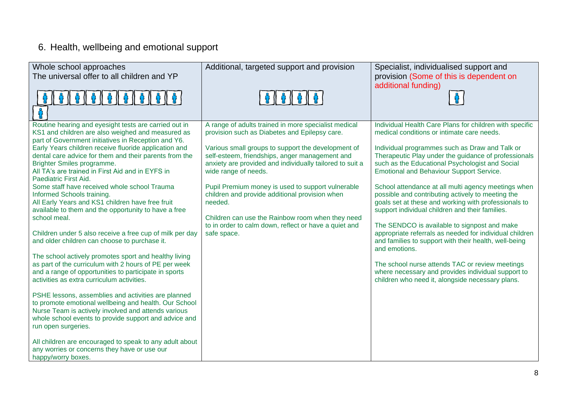# 6. Health, wellbeing and emotional support

| Whole school approaches<br>The universal offer to all children and YP<br>0 0 0 0 0 0 0 0 0 0                                                                                                                                                                                                                                                                                                                                                                                                                                                                                                                                                                                                                                                                                                                                                                                                                                                                                                                                                                                                                                                                                                                                                                                                                                            | Additional, targeted support and provision<br>6    6    6    6                                                                                                                                                                                                                                                                                                                                                                                                                                                                                  | Specialist, individualised support and<br>provision (Some of this is dependent on<br>additional funding)                                                                                                                                                                                                                                                                                                                                                                                                                                                                                                                                                                                                                                                                                                                                                                                       |
|-----------------------------------------------------------------------------------------------------------------------------------------------------------------------------------------------------------------------------------------------------------------------------------------------------------------------------------------------------------------------------------------------------------------------------------------------------------------------------------------------------------------------------------------------------------------------------------------------------------------------------------------------------------------------------------------------------------------------------------------------------------------------------------------------------------------------------------------------------------------------------------------------------------------------------------------------------------------------------------------------------------------------------------------------------------------------------------------------------------------------------------------------------------------------------------------------------------------------------------------------------------------------------------------------------------------------------------------|-------------------------------------------------------------------------------------------------------------------------------------------------------------------------------------------------------------------------------------------------------------------------------------------------------------------------------------------------------------------------------------------------------------------------------------------------------------------------------------------------------------------------------------------------|------------------------------------------------------------------------------------------------------------------------------------------------------------------------------------------------------------------------------------------------------------------------------------------------------------------------------------------------------------------------------------------------------------------------------------------------------------------------------------------------------------------------------------------------------------------------------------------------------------------------------------------------------------------------------------------------------------------------------------------------------------------------------------------------------------------------------------------------------------------------------------------------|
| Routine hearing and eyesight tests are carried out in<br>KS1 and children are also weighed and measured as<br>part of Government initiatives in Reception and Y6.<br>Early Years children receive fluoride application and<br>dental care advice for them and their parents from the<br>Brighter Smiles programme.<br>All TA's are trained in First Aid and in EYFS in<br>Paediatric First Aid.<br>Some staff have received whole school Trauma<br>Informed Schools training.<br>All Early Years and KS1 children have free fruit<br>available to them and the opportunity to have a free<br>school meal.<br>Children under 5 also receive a free cup of milk per day<br>and older children can choose to purchase it.<br>The school actively promotes sport and healthy living<br>as part of the curriculum with 2 hours of PE per week<br>and a range of opportunities to participate in sports<br>activities as extra curriculum activities.<br>PSHE lessons, assemblies and activities are planned<br>to promote emotional wellbeing and health. Our School<br>Nurse Team is actively involved and attends various<br>whole school events to provide support and advice and<br>run open surgeries.<br>All children are encouraged to speak to any adult about<br>any worries or concerns they have or use our<br>happy/worry boxes. | A range of adults trained in more specialist medical<br>provision such as Diabetes and Epilepsy care.<br>Various small groups to support the development of<br>self-esteem, friendships, anger management and<br>anxiety are provided and individually tailored to suit a<br>wide range of needs.<br>Pupil Premium money is used to support vulnerable<br>children and provide additional provision when<br>needed.<br>Children can use the Rainbow room when they need<br>to in order to calm down, reflect or have a quiet and<br>safe space. | Individual Health Care Plans for children with specific<br>medical conditions or intimate care needs.<br>Individual programmes such as Draw and Talk or<br>Therapeutic Play under the guidance of professionals<br>such as the Educational Psychologist and Social<br><b>Emotional and Behaviour Support Service.</b><br>School attendance at all multi agency meetings when<br>possible and contributing actively to meeting the<br>goals set at these and working with professionals to<br>support individual children and their families.<br>The SENDCO is available to signpost and make<br>appropriate referrals as needed for individual children<br>and families to support with their health, well-being<br>and emotions.<br>The school nurse attends TAC or review meetings<br>where necessary and provides individual support to<br>children who need it, alongside necessary plans. |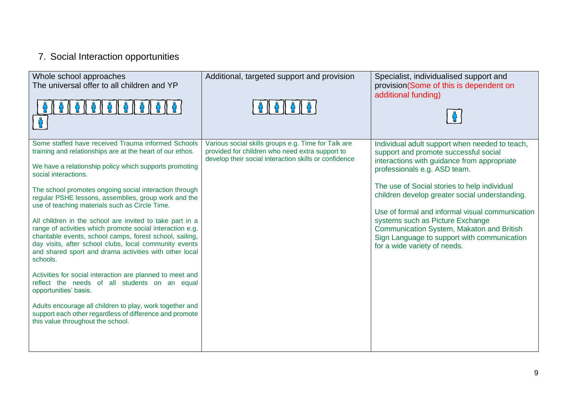# 7. Social Interaction opportunities

| Whole school approaches<br>The universal offer to all children and YP                                                                                                                                                                                                                                                                                                                                                                                                                                                                                                                                                                                                                                                                                                                                                                                                                                                                                                                         | Additional, targeted support and provision                                                                                                                      | Specialist, individualised support and<br>provision(Some of this is dependent on<br>additional funding)                                                                                                                                                                                                                                                                                                                                                                                     |
|-----------------------------------------------------------------------------------------------------------------------------------------------------------------------------------------------------------------------------------------------------------------------------------------------------------------------------------------------------------------------------------------------------------------------------------------------------------------------------------------------------------------------------------------------------------------------------------------------------------------------------------------------------------------------------------------------------------------------------------------------------------------------------------------------------------------------------------------------------------------------------------------------------------------------------------------------------------------------------------------------|-----------------------------------------------------------------------------------------------------------------------------------------------------------------|---------------------------------------------------------------------------------------------------------------------------------------------------------------------------------------------------------------------------------------------------------------------------------------------------------------------------------------------------------------------------------------------------------------------------------------------------------------------------------------------|
| Some staffed have received Trauma informed Schools<br>training and relationships are at the heart of our ethos.<br>We have a relationship policy which supports promoting<br>social interactions.<br>The school promotes ongoing social interaction through<br>regular PSHE lessons, assemblies, group work and the<br>use of teaching materials such as Circle Time.<br>All children in the school are invited to take part in a<br>range of activities which promote social interaction e.g.<br>charitable events, school camps, forest school, sailing,<br>day visits, after school clubs, local community events<br>and shared sport and drama activities with other local<br>schools.<br>Activities for social interaction are planned to meet and<br>reflect the needs of all students on an equal<br>opportunities' basis.<br>Adults encourage all children to play, work together and<br>support each other regardless of difference and promote<br>this value throughout the school. | Various social skills groups e.g. Time for Talk are<br>provided for children who need extra support to<br>develop their social interaction skills or confidence | Individual adult support when needed to teach,<br>support and promote successful social<br>interactions with guidance from appropriate<br>professionals e.g. ASD team.<br>The use of Social stories to help individual<br>children develop greater social understanding.<br>Use of formal and informal visual communication<br>systems such as Picture Exchange<br>Communication System, Makaton and British<br>Sign Language to support with communication<br>for a wide variety of needs. |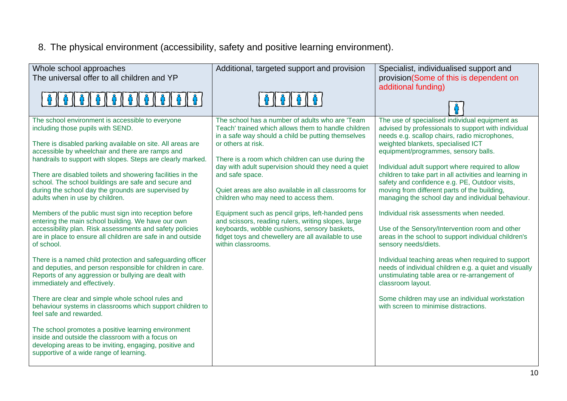8. The physical environment (accessibility, safety and positive learning environment).

| Whole school approaches<br>The universal offer to all children and YP                                                                                                                                            | Additional, targeted support and provision                                                                                                                   | Specialist, individualised support and<br>provision(Some of this is dependent on                                                                                                   |
|------------------------------------------------------------------------------------------------------------------------------------------------------------------------------------------------------------------|--------------------------------------------------------------------------------------------------------------------------------------------------------------|------------------------------------------------------------------------------------------------------------------------------------------------------------------------------------|
|                                                                                                                                                                                                                  |                                                                                                                                                              | additional funding)                                                                                                                                                                |
|                                                                                                                                                                                                                  |                                                                                                                                                              |                                                                                                                                                                                    |
| The school environment is accessible to everyone<br>including those pupils with SEND.                                                                                                                            | The school has a number of adults who are 'Team<br>Teach' trained which allows them to handle children<br>in a safe way should a child be putting themselves | The use of specialised individual equipment as<br>advised by professionals to support with individual<br>needs e.g. scallop chairs, radio microphones,                             |
| There is disabled parking available on site. All areas are<br>accessible by wheelchair and there are ramps and                                                                                                   | or others at risk.                                                                                                                                           | weighted blankets, specialised ICT<br>equipment/programmes, sensory balls.                                                                                                         |
| handrails to support with slopes. Steps are clearly marked.                                                                                                                                                      | There is a room which children can use during the<br>day with adult supervision should they need a quiet                                                     | Individual adult support where required to allow                                                                                                                                   |
| There are disabled toilets and showering facilities in the<br>school. The school buildings are safe and secure and                                                                                               | and safe space.                                                                                                                                              | children to take part in all activities and learning in<br>safety and confidence e.g. PE, Outdoor visits,                                                                          |
| during the school day the grounds are supervised by<br>adults when in use by children.                                                                                                                           | Quiet areas are also available in all classrooms for<br>children who may need to access them.                                                                | moving from different parts of the building,<br>managing the school day and individual behaviour.                                                                                  |
| Members of the public must sign into reception before<br>entering the main school building. We have our own                                                                                                      | Equipment such as pencil grips, left-handed pens<br>and scissors, reading rulers, writing slopes, large                                                      | Individual risk assessments when needed.                                                                                                                                           |
| accessibility plan. Risk assessments and safety policies<br>are in place to ensure all children are safe in and outside<br>of school.                                                                            | keyboards, wobble cushions, sensory baskets,<br>fidget toys and chewellery are all available to use<br>within classrooms.                                    | Use of the Sensory/Intervention room and other<br>areas in the school to support individual children's<br>sensory needs/diets.                                                     |
| There is a named child protection and safeguarding officer<br>and deputies, and person responsible for children in care.<br>Reports of any aggression or bullying are dealt with<br>immediately and effectively. |                                                                                                                                                              | Individual teaching areas when required to support<br>needs of individual children e.g. a quiet and visually<br>unstimulating table area or re-arrangement of<br>classroom layout. |
| There are clear and simple whole school rules and<br>behaviour systems in classrooms which support children to<br>feel safe and rewarded.                                                                        |                                                                                                                                                              | Some children may use an individual workstation<br>with screen to minimise distractions.                                                                                           |
| The school promotes a positive learning environment<br>inside and outside the classroom with a focus on<br>developing areas to be inviting, engaging, positive and<br>supportive of a wide range of learning.    |                                                                                                                                                              |                                                                                                                                                                                    |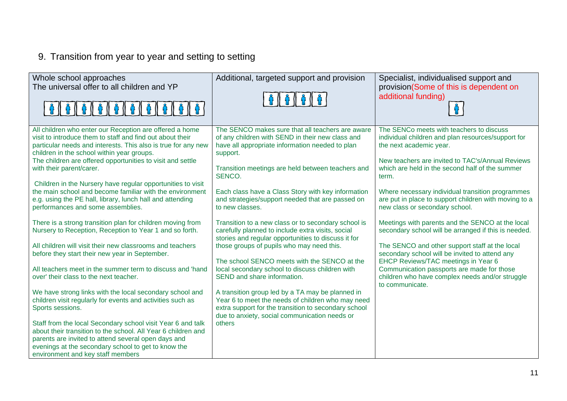# 9. Transition from year to year and setting to setting

| Whole school approaches<br>The universal offer to all children and YP                                                                                                                                                                                                                                                                                                                                                                                                                                                                                                                                                                                                                                                                   | Additional, targeted support and provision<br>6   6   6   6                                                                                                                                                                                                                                                                                                                                                                                                                                                                                                                | Specialist, individualised support and<br>provision(Some of this is dependent on<br>additional funding)                                                                                                                                                                                                                                                                                  |
|-----------------------------------------------------------------------------------------------------------------------------------------------------------------------------------------------------------------------------------------------------------------------------------------------------------------------------------------------------------------------------------------------------------------------------------------------------------------------------------------------------------------------------------------------------------------------------------------------------------------------------------------------------------------------------------------------------------------------------------------|----------------------------------------------------------------------------------------------------------------------------------------------------------------------------------------------------------------------------------------------------------------------------------------------------------------------------------------------------------------------------------------------------------------------------------------------------------------------------------------------------------------------------------------------------------------------------|------------------------------------------------------------------------------------------------------------------------------------------------------------------------------------------------------------------------------------------------------------------------------------------------------------------------------------------------------------------------------------------|
| All children who enter our Reception are offered a home<br>visit to introduce them to staff and find out about their<br>particular needs and interests. This also is true for any new<br>children in the school within year groups.<br>The children are offered opportunities to visit and settle<br>with their parent/carer.<br>Children in the Nursery have regular opportunities to visit<br>the main school and become familiar with the environment<br>e.g. using the PE hall, library, lunch hall and attending<br>performances and some assemblies.                                                                                                                                                                              | The SENCO makes sure that all teachers are aware<br>of any children with SEND in their new class and<br>have all appropriate information needed to plan<br>support.<br>Transition meetings are held between teachers and<br>SENCO.<br>Each class have a Class Story with key information<br>and strategies/support needed that are passed on<br>to new classes.                                                                                                                                                                                                            | The SENCo meets with teachers to discuss<br>individual children and plan resources/support for<br>the next academic year.<br>New teachers are invited to TAC's/Annual Reviews<br>which are held in the second half of the summer<br>term.<br>Where necessary individual transition programmes<br>are put in place to support children with moving to a<br>new class or secondary school. |
| There is a strong transition plan for children moving from<br>Nursery to Reception, Reception to Year 1 and so forth.<br>All children will visit their new classrooms and teachers<br>before they start their new year in September.<br>All teachers meet in the summer term to discuss and 'hand<br>over' their class to the next teacher.<br>We have strong links with the local secondary school and<br>children visit regularly for events and activities such as<br>Sports sessions.<br>Staff from the local Secondary school visit Year 6 and talk<br>about their transition to the school. All Year 6 children and<br>parents are invited to attend several open days and<br>evenings at the secondary school to get to know the | Transition to a new class or to secondary school is<br>carefully planned to include extra visits, social<br>stories and regular opportunities to discuss it for<br>those groups of pupils who may need this.<br>The school SENCO meets with the SENCO at the<br>local secondary school to discuss children with<br>SEND and share information.<br>A transition group led by a TA may be planned in<br>Year 6 to meet the needs of children who may need<br>extra support for the transition to secondary school<br>due to anxiety, social communication needs or<br>others | Meetings with parents and the SENCO at the local<br>secondary school will be arranged if this is needed.<br>The SENCO and other support staff at the local<br>secondary school will be invited to attend any<br>EHCP Reviews/TAC meetings in Year 6<br>Communication passports are made for those<br>children who have complex needs and/or struggle<br>to communicate.                  |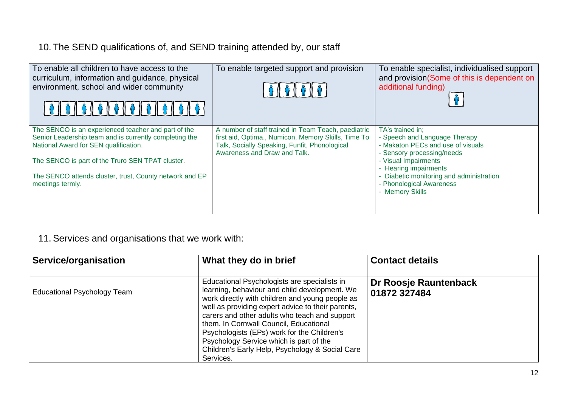# 10. The SEND qualifications of, and SEND training attended by, our staff

| To enable all children to have access to the<br>curriculum, information and guidance, physical<br>environment, school and wider community                                                                                                                                                 | To enable targeted support and provision                                                                                                                                                    | To enable specialist, individualised support<br>and provision(Some of this is dependent on<br>additional funding)                                                                                                                                              |
|-------------------------------------------------------------------------------------------------------------------------------------------------------------------------------------------------------------------------------------------------------------------------------------------|---------------------------------------------------------------------------------------------------------------------------------------------------------------------------------------------|----------------------------------------------------------------------------------------------------------------------------------------------------------------------------------------------------------------------------------------------------------------|
| The SENCO is an experienced teacher and part of the<br>Senior Leadership team and is currently completing the<br>National Award for SEN qualification.<br>The SENCO is part of the Truro SEN TPAT cluster.<br>The SENCO attends cluster, trust, County network and EP<br>meetings termly. | A number of staff trained in Team Teach, paediatric<br>first aid, Optima., Numicon, Memory Skills, Time To<br>Talk, Socially Speaking, Funfit, Phonological<br>Awareness and Draw and Talk. | TA's trained in;<br>- Speech and Language Therapy<br>- Makaton PECs and use of visuals<br>- Sensory processing/needs<br>- Visual Impairments<br>- Hearing impairments<br>Diabetic monitoring and administration<br>- Phonological Awareness<br>- Memory Skills |

# 11.Services and organisations that we work with:

| Service/organisation               | What they do in brief                                                                                                                                                                                                                                                                                                                                                                                                                                      | <b>Contact details</b>                |
|------------------------------------|------------------------------------------------------------------------------------------------------------------------------------------------------------------------------------------------------------------------------------------------------------------------------------------------------------------------------------------------------------------------------------------------------------------------------------------------------------|---------------------------------------|
| <b>Educational Psychology Team</b> | Educational Psychologists are specialists in<br>learning, behaviour and child development. We<br>work directly with children and young people as<br>well as providing expert advice to their parents,<br>carers and other adults who teach and support<br>them. In Cornwall Council, Educational<br>Psychologists (EPs) work for the Children's<br>Psychology Service which is part of the<br>Children's Early Help, Psychology & Social Care<br>Services. | Dr Roosje Rauntenback<br>01872 327484 |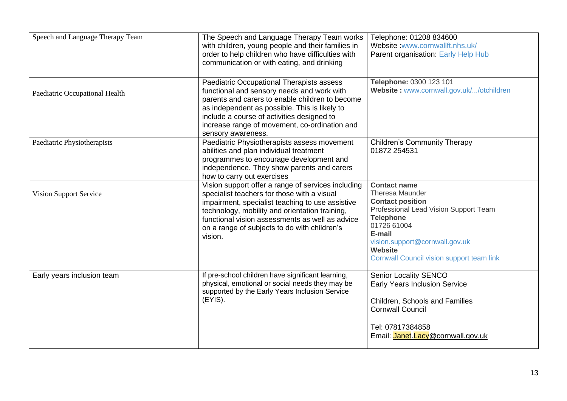| Speech and Language Therapy Team | The Speech and Language Therapy Team works<br>with children, young people and their families in<br>order to help children who have difficulties with<br>communication or with eating, and drinking                                                                                                                    | Telephone: 01208 834600<br>Website:www.cornwallft.nhs.uk/<br>Parent organisation: Early Help Hub                                                                                                                                                                |
|----------------------------------|-----------------------------------------------------------------------------------------------------------------------------------------------------------------------------------------------------------------------------------------------------------------------------------------------------------------------|-----------------------------------------------------------------------------------------------------------------------------------------------------------------------------------------------------------------------------------------------------------------|
| Paediatric Occupational Health   | Paediatric Occupational Therapists assess<br>functional and sensory needs and work with<br>parents and carers to enable children to become<br>as independent as possible. This is likely to<br>include a course of activities designed to<br>increase range of movement, co-ordination and<br>sensory awareness.      | Telephone: 0300 123 101<br>Website: www.cornwall.gov.uk//otchildren                                                                                                                                                                                             |
| Paediatric Physiotherapists      | Paediatric Physiotherapists assess movement<br>abilities and plan individual treatment<br>programmes to encourage development and<br>independence. They show parents and carers<br>how to carry out exercises                                                                                                         | <b>Children's Community Therapy</b><br>01872 254531                                                                                                                                                                                                             |
| <b>Vision Support Service</b>    | Vision support offer a range of services including<br>specialist teachers for those with a visual<br>impairment, specialist teaching to use assistive<br>technology, mobility and orientation training,<br>functional vision assessments as well as advice<br>on a range of subjects to do with children's<br>vision. | <b>Contact name</b><br>Theresa Maunder<br><b>Contact position</b><br>Professional Lead Vision Support Team<br><b>Telephone</b><br>01726 61004<br>E-mail<br>vision.support@cornwall.gov.uk<br><b>Website</b><br><b>Cornwall Council vision support team link</b> |
| Early years inclusion team       | If pre-school children have significant learning,<br>physical, emotional or social needs they may be<br>supported by the Early Years Inclusion Service<br>$(EYIS)$ .                                                                                                                                                  | <b>Senior Locality SENCO</b><br><b>Early Years Inclusion Service</b><br>Children, Schools and Families<br><b>Cornwall Council</b><br>Tel: 07817384858<br>Email: <b>Janet.Lacy@cornwall.gov.uk</b>                                                               |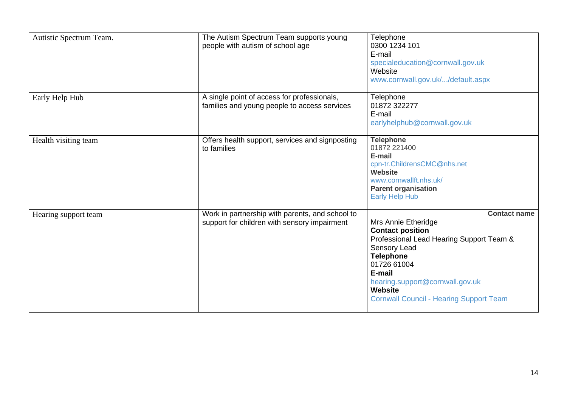| Autistic Spectrum Team. | The Autism Spectrum Team supports young<br>people with autism of school age                     | Telephone<br>0300 1234 101<br>E-mail<br>specialeducation@cornwall.gov.uk<br>Website<br>www.cornwall.gov.uk//default.aspx                                                                                                                                                              |
|-------------------------|-------------------------------------------------------------------------------------------------|---------------------------------------------------------------------------------------------------------------------------------------------------------------------------------------------------------------------------------------------------------------------------------------|
| Early Help Hub          | A single point of access for professionals,<br>families and young people to access services     | Telephone<br>01872 322277<br>E-mail<br>earlyhelphub@cornwall.gov.uk                                                                                                                                                                                                                   |
| Health visiting team    | Offers health support, services and signposting<br>to families                                  | <b>Telephone</b><br>01872 221400<br>E-mail<br>cpn-tr.ChildrensCMC@nhs.net<br><b>Website</b><br>www.cornwallft.nhs.uk/<br><b>Parent organisation</b><br><b>Early Help Hub</b>                                                                                                          |
| Hearing support team    | Work in partnership with parents, and school to<br>support for children with sensory impairment | <b>Contact name</b><br>Mrs Annie Etheridge<br><b>Contact position</b><br>Professional Lead Hearing Support Team &<br>Sensory Lead<br><b>Telephone</b><br>01726 61004<br>E-mail<br>hearing.support@cornwall.gov.uk<br><b>Website</b><br><b>Cornwall Council - Hearing Support Team</b> |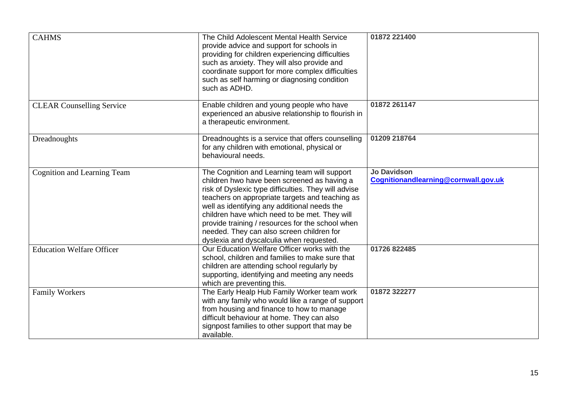| <b>CAHMS</b>                       | The Child Adolescent Mental Health Service<br>provide advice and support for schools in<br>providing for children experiencing difficulties<br>such as anxiety. They will also provide and<br>coordinate support for more complex difficulties<br>such as self harming or diagnosing condition<br>such as ADHD.                                                                                                                                      | 01872 221400                                               |
|------------------------------------|------------------------------------------------------------------------------------------------------------------------------------------------------------------------------------------------------------------------------------------------------------------------------------------------------------------------------------------------------------------------------------------------------------------------------------------------------|------------------------------------------------------------|
| <b>CLEAR Counselling Service</b>   | Enable children and young people who have<br>experienced an abusive relationship to flourish in<br>a therapeutic environment.                                                                                                                                                                                                                                                                                                                        | 01872 261147                                               |
| Dreadnoughts                       | Dreadnoughts is a service that offers counselling<br>for any children with emotional, physical or<br>behavioural needs.                                                                                                                                                                                                                                                                                                                              | 01209 218764                                               |
| <b>Cognition and Learning Team</b> | The Cognition and Learning team will support<br>children hwo have been screened as having a<br>risk of Dyslexic type difficulties. They will advise<br>teachers on appropriate targets and teaching as<br>well as identifying any additional needs the<br>children have which need to be met. They will<br>provide training / resources for the school when<br>needed. They can also screen children for<br>dyslexia and dyscalculia when requested. | <b>Jo Davidson</b><br>Cognitionandlearning@cornwall.gov.uk |
| <b>Education Welfare Officer</b>   | Our Education Welfare Officer works with the<br>school, children and families to make sure that<br>children are attending school regularly by<br>supporting, identifying and meeting any needs<br>which are preventing this.                                                                                                                                                                                                                         | 01726 822485                                               |
| <b>Family Workers</b>              | The Early Healp Hub Family Worker team work<br>with any family who would like a range of support<br>from housing and finance to how to manage<br>difficult behaviour at home. They can also<br>signpost families to other support that may be<br>available.                                                                                                                                                                                          | 01872 322277                                               |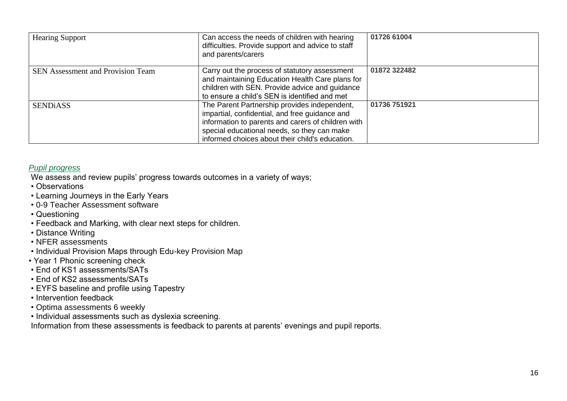| <b>Hearing Support</b>                   | Can access the needs of children with hearing<br>difficulties. Provide support and advice to staff<br>and parents/carers                                                                                                                               | 01726 61004  |
|------------------------------------------|--------------------------------------------------------------------------------------------------------------------------------------------------------------------------------------------------------------------------------------------------------|--------------|
| <b>SEN Assessment and Provision Team</b> | Carry out the process of statutory assessment<br>and maintaining Education Health Care plans for<br>children with SEN. Provide advice and guidance<br>to ensure a child's SEN is identified and met                                                    | 01872 322482 |
| <b>SENDIASS</b>                          | The Parent Partnership provides independent,<br>impartial, confidential, and free guidance and<br>information to parents and carers of children with<br>special educational needs, so they can make<br>informed choices about their child's education. | 01736 751921 |

### *Pupil progress*

We assess and review pupils' progress towards outcomes in a variety of ways;

- Observations
- Learning Journeys in the Early Years
- 0-9 Teacher Assessment software
- Questioning
- Feedback and Marking, with clear next steps for children.
- Distance Writing
- NFER assessments
- Individual Provision Maps through Edu-key Provision Map
- Year 1 Phonic screening check
- End of KS1 assessments/SATs
- End of KS2 assessments/SATs
- EYFS baseline and profile using Tapestry
- Intervention feedback
- Optima assessments 6 weekly
- Individual assessments such as dyslexia screening.

Information from these assessments is feedback to parents at parents' evenings and pupil reports.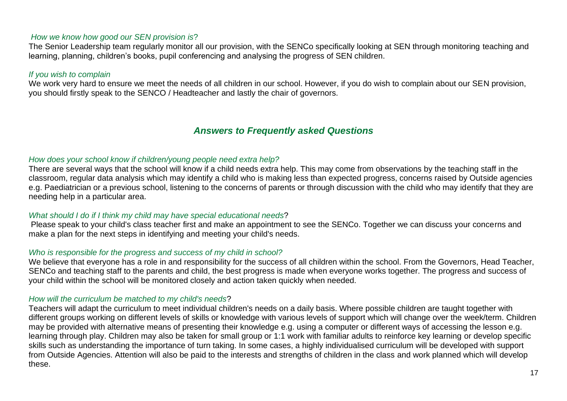#### *How we know how good our SEN provision is*?

The Senior Leadership team regularly monitor all our provision, with the SENCo specifically looking at SEN through monitoring teaching and learning, planning, children's books, pupil conferencing and analysing the progress of SEN children.

#### *If you wish to complain*

We work very hard to ensure we meet the needs of all children in our school. However, if you do wish to complain about our SEN provision, you should firstly speak to the SENCO / Headteacher and lastly the chair of governors.

## *Answers to Frequently asked Questions*

#### *How does your school know if children/young people need extra help?*

There are several ways that the school will know if a child needs extra help. This may come from observations by the teaching staff in the classroom, regular data analysis which may identify a child who is making less than expected progress, concerns raised by Outside agencies e.g. Paediatrician or a previous school, listening to the concerns of parents or through discussion with the child who may identify that they are needing help in a particular area.

#### *What should I do if I think my child may have special educational needs*?

Please speak to your child's class teacher first and make an appointment to see the SENCo. Together we can discuss your concerns and make a plan for the next steps in identifying and meeting your child's needs.

#### *Who is responsible for the progress and success of my child in school?*

We believe that everyone has a role in and responsibility for the success of all children within the school. From the Governors, Head Teacher, SENCo and teaching staff to the parents and child, the best progress is made when everyone works together. The progress and success of your child within the school will be monitored closely and action taken quickly when needed.

#### *How will the curriculum be matched to my child's needs*?

Teachers will adapt the curriculum to meet individual children's needs on a daily basis. Where possible children are taught together with different groups working on different levels of skills or knowledge with various levels of support which will change over the week/term. Children may be provided with alternative means of presenting their knowledge e.g. using a computer or different ways of accessing the lesson e.g. learning through play. Children may also be taken for small group or 1:1 work with familiar adults to reinforce key learning or develop specific skills such as understanding the importance of turn taking. In some cases, a highly individualised curriculum will be developed with support from Outside Agencies. Attention will also be paid to the interests and strengths of children in the class and work planned which will develop these.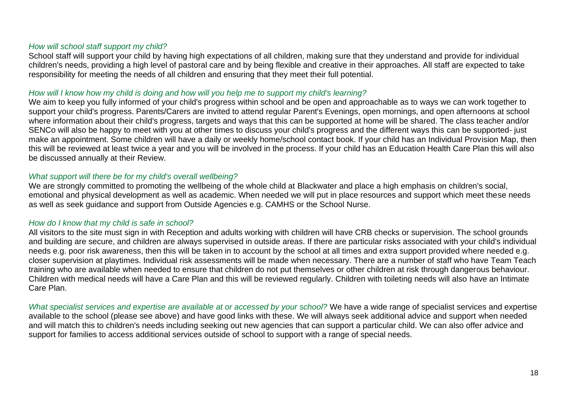## *How will school staff support my child?*

School staff will support your child by having high expectations of all children, making sure that they understand and provide for individual children's needs, providing a high level of pastoral care and by being flexible and creative in their approaches. All staff are expected to take responsibility for meeting the needs of all children and ensuring that they meet their full potential.

### *How will I know how my child is doing and how will you help me to support my child's learning?*

We aim to keep you fully informed of your child's progress within school and be open and approachable as to ways we can work together to support your child's progress. Parents/Carers are invited to attend regular Parent's Evenings, open mornings, and open afternoons at school where information about their child's progress, targets and ways that this can be supported at home will be shared. The class teacher and/or SENCo will also be happy to meet with you at other times to discuss your child's progress and the different ways this can be supported- just make an appointment. Some children will have a daily or weekly home/school contact book. If your child has an Individual Provision Map, then this will be reviewed at least twice a year and you will be involved in the process. If your child has an Education Health Care Plan this will also be discussed annually at their Review.

### *What support will there be for my child's overall wellbeing?*

We are strongly committed to promoting the wellbeing of the whole child at Blackwater and place a high emphasis on children's social, emotional and physical development as well as academic. When needed we will put in place resources and support which meet these needs as well as seek guidance and support from Outside Agencies e.g. CAMHS or the School Nurse.

## *How do I know that my child is safe in school?*

All visitors to the site must sign in with Reception and adults working with children will have CRB checks or supervision. The school grounds and building are secure, and children are always supervised in outside areas. If there are particular risks associated with your child's individual needs e.g. poor risk awareness, then this will be taken in to account by the school at all times and extra support provided where needed e.g. closer supervision at playtimes. Individual risk assessments will be made when necessary. There are a number of staff who have Team Teach training who are available when needed to ensure that children do not put themselves or other children at risk through dangerous behaviour. Children with medical needs will have a Care Plan and this will be reviewed regularly. Children with toileting needs will also have an Intimate Care Plan.

What specialist services and expertise are available at or accessed by your school? We have a wide range of specialist services and expertise available to the school (please see above) and have good links with these. We will always seek additional advice and support when needed and will match this to children's needs including seeking out new agencies that can support a particular child. We can also offer advice and support for families to access additional services outside of school to support with a range of special needs.